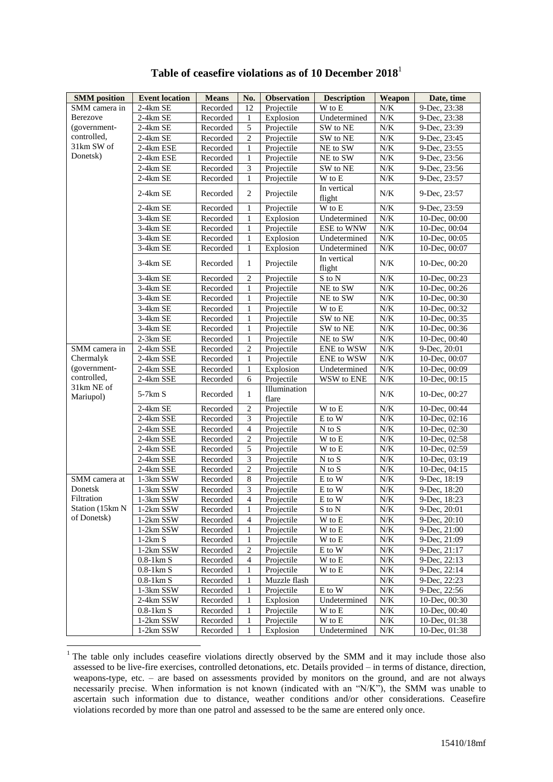| <b>SMM</b> position     | <b>Event location</b> | <b>Means</b> | No.            | <b>Observation</b>    | <b>Description</b>         | Weapon    | Date, time                 |
|-------------------------|-----------------------|--------------|----------------|-----------------------|----------------------------|-----------|----------------------------|
| SMM camera in           | 2-4km SE              | Recorded     | 12             | Projectile            | W to E                     | $N/K$     | 9-Dec, 23:38               |
| Berezove                | 2-4km SE              | Recorded     | 1              | Explosion             | Undetermined               | $N/K$     | 9-Dec, 23:38               |
| (government-            | 2-4km SE              | Recorded     | 5              | Projectile            | SW to NE                   | $N\!/\!K$ | 9-Dec, 23:39               |
| controlled,             | $2-4km$ SE            | Recorded     | $\overline{c}$ | Projectile            | SW to NE                   | $N/K$     | 9-Dec, 23:45               |
| 31km SW of              | 2-4km ESE             | Recorded     | 1              | Projectile            | NE to SW                   | N/K       | 9-Dec, 23:55               |
| Donetsk)                | 2-4km ESE             | Recorded     | 1              | Projectile            | NE to SW                   | $N\!/\!K$ | 9-Dec, 23:56               |
|                         | 2-4km SE              | Recorded     | 3              | Projectile            | SW to NE                   | N/K       | 9-Dec, 23:56               |
|                         | 2-4km SE              | Recorded     | $\mathbf{1}$   | Projectile            | W to E                     | $N\!/\!K$ | 9-Dec, 23:57               |
|                         | 2-4km SE              | Recorded     | $\overline{2}$ | Projectile            | In vertical<br>flight      | $N/K$     | 9-Dec, 23:57               |
|                         | 2-4km SE              | Recorded     | 1              | Projectile            | W to E                     | $N\!/\!K$ | 9-Dec, 23:59               |
|                         | 3-4km SE              | Recorded     | 1              | Explosion             | Undetermined               | $N/K$     | 10-Dec, $00:00$            |
|                         | 3-4km SE              | Recorded     | 1              | Projectile            | ESE to WNW                 | $N\!/\!K$ | 10-Dec, 00:04              |
|                         | 3-4km SE              | Recorded     | 1              | Explosion             | Undetermined               | $N\!/\!K$ | 10-Dec, 00:05              |
|                         | 3-4km SE              | Recorded     | $\mathbf{1}$   | Explosion             | Undetermined               | $N\!/\!K$ | 10-Dec, 00:07              |
|                         | 3-4km SE              | Recorded     | 1              | Projectile            | In vertical<br>flight      | $N/K$     | 10-Dec, 00:20              |
|                         | 3-4km SE              | Recorded     | $\mathbf{2}$   | Projectile            | S to N                     | N/K       | 10-Dec, 00:23              |
|                         | 3-4km SE              | Recorded     | 1              | Projectile            | NE to SW                   | N/K       | 10-Dec, 00:26              |
|                         | 3-4km SE              | Recorded     | 1              | Projectile            | NE to SW                   | $N/K$     | 10-Dec, 00:30              |
|                         | 3-4km SE              | Recorded     | 1              | Projectile            | W to E                     | $N\!/\!K$ | 10-Dec, 00:32              |
|                         | 3-4km SE              | Recorded     | 1              | Projectile            | SW to NE                   | N/K       | 10-Dec, 00:35              |
|                         | 3-4km SE              | Recorded     | 1              | Projectile            | SW to NE                   | $N\!/\!K$ | 10-Dec, 00:36              |
|                         | $2-3km$ SE            | Recorded     | 1              | Projectile            | NE to SW                   | N/K       | 10-Dec, 00:40              |
| SMM camera in           | 2-4km SSE             | Recorded     | $\overline{c}$ | Projectile            | ENE to WSW                 | $N/K$     | $\overline{9}$ -Dec, 20:01 |
| Chermalyk               | 2-4km SSE             | Recorded     | 1              | Projectile            | ENE to WSW                 | $N\!/\!K$ | 10-Dec, 00:07              |
| (government-            | 2-4km SSE             | Recorded     | 1              | Explosion             | Undetermined               | $N/K$     | 10-Dec, 00:09              |
| controlled,             | 2-4km SSE             | Recorded     | 6              | Projectile            | WSW to ENE                 | $N\!/\!K$ | 10-Dec, 00:15              |
| 31km NE of<br>Mariupol) | $5-7km S$             | Recorded     | 1              | Illumination<br>flare |                            | $N/K$     | 10-Dec, 00:27              |
|                         | 2-4km SE              | Recorded     | $\overline{c}$ | Projectile            | W to E                     | $N\!/\!K$ | 10-Dec, 00:44              |
|                         | 2-4km SSE             | Recorded     | 3              | Projectile            | E to W                     | N/K       | 10-Dec, 02:16              |
|                         | $2-4km$ SSE           | Recorded     | $\overline{4}$ | Projectile            | N to S                     | N/K       | 10-Dec, 02:30              |
|                         | 2-4km SSE             | Recorded     | $\overline{c}$ | Projectile            | W to E                     | N/K       | 10-Dec, $02:58$            |
|                         | 2-4km SSE             | Recorded     | 5              | Projectile            | $\overline{W}$ to E        | N/K       | 10-Dec, 02:59              |
|                         | 2-4km SSE             | Recorded     | 3              | Projectile            | N to S                     | $N\!/\!K$ | 10-Dec, 03:19              |
|                         | 2-4km SSE             | Recorded     | $\overline{2}$ | Projectile            | $N$ to $\overline{S}$      | $N\!/\!K$ | 10-Dec, 04:15              |
| SMM camera at           | $1-3{\rm km}$ SSW     | Recorded     | $\,8\,$        | Projectile            | $\mathbf E$ to $\mathbf W$ | $N\!/\!K$ | 9-Dec, 18:19               |
| Donetsk                 | 1-3km SSW             | Recorded     | 3              | Projectile            | E to W                     | N/K       | 9-Dec, 18:20               |
| Filtration              | 1-3km SSW             | Recorded     | $\overline{4}$ | Projectile            | E to W                     | $N\!/\!K$ | 9-Dec, 18:23               |
| Station (15km N         | 1-2km SSW             | Recorded     | 1              | Projectile            | $\mathbf S$ to $\mathbf N$ | $N\!/\!K$ | 9-Dec, 20:01               |
| of Donetsk)             | 1-2km SSW             | Recorded     | 4              | Projectile            | W to E                     | N/K       | 9-Dec, 20:10               |
|                         | 1-2km SSW             | Recorded     | 1              | Projectile            | W to E                     | N/K       | 9-Dec, 21:00               |
|                         | $1-2km S$             | Recorded     | 1              | Projectile            | W to E                     | N/K       | 9-Dec, 21:09               |
|                         | 1-2km SSW             | Recorded     | $\mathbf{2}$   | Projectile            | E to W                     | N/K       | 9-Dec, 21:17               |
|                         | $0.8-1 \mathrm{km} S$ | Recorded     | $\overline{4}$ | Projectile            | W to E                     | $N\!/\!K$ | 9-Dec, 22:13               |
|                         | $0.8-1 \mathrm{km} S$ | Recorded     | 1              | Projectile            | W to E                     | N/K       | 9-Dec, 22:14               |
|                         | $0.8-1 \mathrm{km}$ S | Recorded     | 1              | Muzzle flash          |                            | $N\!/\!K$ | 9-Dec, 22:23               |
|                         | 1-3km SSW             | Recorded     | 1              | Projectile            | E to W                     | N/K       | 9-Dec, 22:56               |
|                         | 2-4km SSW             | Recorded     | 1              | Explosion             | Undetermined               | $N\!/\!K$ | 10-Dec, 00:30              |
|                         | $0.8-1 \text{km}$ S   | Recorded     | 1              | Projectile            | W to E                     | $N\!/\!K$ | 10-Dec, 00:40              |
|                         | 1-2km SSW             | Recorded     | 1              | Projectile            | W to E                     | N/K       | 10-Dec, 01:38              |
|                         | 1-2km SSW             | Recorded     | 1              | Explosion             | Undetermined               | N/K       | 10-Dec, 01:38              |

## **Table of ceasefire violations as of 10 December 2018**<sup>1</sup>

1

<sup>&</sup>lt;sup>1</sup> The table only includes ceasefire violations directly observed by the SMM and it may include those also assessed to be live-fire exercises, controlled detonations, etc. Details provided – in terms of distance, direction, weapons-type, etc. – are based on assessments provided by monitors on the ground, and are not always necessarily precise. When information is not known (indicated with an "N/K"), the SMM was unable to ascertain such information due to distance, weather conditions and/or other considerations. Ceasefire violations recorded by more than one patrol and assessed to be the same are entered only once.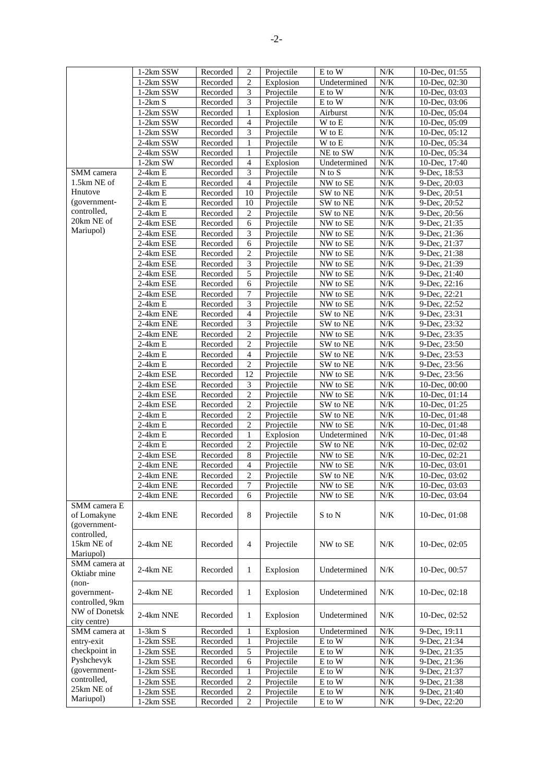|                                                  | 1-2km SSW   | Recorded | $\overline{2}$ | Projectile | E to W                     | N/K       | 10-Dec, $01:55$ |
|--------------------------------------------------|-------------|----------|----------------|------------|----------------------------|-----------|-----------------|
|                                                  | 1-2km SSW   | Recorded | 2              | Explosion  | Undetermined               | N/K       | 10-Dec, 02:30   |
|                                                  | 1-2km SSW   | Recorded | 3              | Projectile | E to W                     | $N\!/\!K$ | 10-Dec, 03:03   |
|                                                  | $1-2km S$   | Recorded | 3              | Projectile | E to W                     | $N\!/\!K$ | 10-Dec, 03:06   |
|                                                  |             |          |                |            |                            | N/K       |                 |
|                                                  | 1-2km SSW   | Recorded | 1              | Explosion  | Airburst                   |           | 10-Dec, 05:04   |
|                                                  | $1-2km$ SSW | Recorded | $\overline{4}$ | Projectile | W to E                     | $N\!/\!K$ | 10-Dec, 05:09   |
|                                                  | 1-2km SSW   | Recorded | 3              | Projectile | W to E                     | N/K       | 10-Dec, $05:12$ |
|                                                  | 2-4km SSW   | Recorded | 1              | Projectile | W to E                     | $N\!/\!K$ | 10-Dec, 05:34   |
|                                                  | 2-4km SSW   | Recorded | 1              | Projectile | NE to SW                   | $N\!/\!K$ | 10-Dec, 05:34   |
|                                                  | $1-2km$ SW  | Recorded | $\overline{4}$ | Explosion  | Undetermined               | $N\!/\!K$ | 10-Dec, 17:40   |
|                                                  |             |          |                |            |                            |           |                 |
| SMM camera                                       | $2-4km E$   | Recorded | 3              | Projectile | $N$ to $S$                 | N/K       | 9-Dec, 18:53    |
| 1.5km NE of                                      | $2-4km E$   | Recorded | $\overline{4}$ | Projectile | NW to SE                   | N/K       | 9-Dec, 20:03    |
| Hnutove                                          | $2-4km E$   | Recorded | 10             | Projectile | SW to NE                   | N/K       | 9-Dec, 20:51    |
| (government-                                     | $2-4km E$   | Recorded | 10             | Projectile | SW to NE                   | N/K       | 9-Dec, 20:52    |
| controlled,                                      | $2-4km E$   | Recorded | $\overline{c}$ | Projectile | SW to NE                   | N/K       | 9-Dec, 20:56    |
| 20km NE of                                       |             |          |                |            |                            |           |                 |
|                                                  | 2-4km ESE   | Recorded | 6              | Projectile | NW to SE                   | $N\!/\!K$ | 9-Dec, 21:35    |
| Mariupol)                                        | 2-4km ESE   | Recorded | 3              | Projectile | NW to SE                   | $N\!/\!K$ | 9-Dec, 21:36    |
|                                                  | 2-4km ESE   | Recorded | 6              | Projectile | NW to SE                   | $N\!/\!K$ | 9-Dec, 21:37    |
|                                                  | 2-4km ESE   | Recorded | $\mathbf{2}$   | Projectile | NW to SE                   | N/K       | 9-Dec, 21:38    |
|                                                  | 2-4km ESE   | Recorded | 3              | Projectile | NW to SE                   | N/K       | 9-Dec, 21:39    |
|                                                  |             |          |                |            |                            |           |                 |
|                                                  | 2-4km ESE   | Recorded | 5              | Projectile | NW to SE                   | N/K       | 9-Dec, 21:40    |
|                                                  | 2-4km ESE   | Recorded | $\sqrt{6}$     | Projectile | NW to SE                   | N/K       | 9-Dec, 22:16    |
|                                                  | 2-4km ESE   | Recorded | 7              | Projectile | NW to SE                   | N/K       | 9-Dec, 22:21    |
|                                                  | $2-4km E$   | Recorded | 3              | Projectile | NW to SE                   | $N/K$     | 9-Dec, 22:52    |
|                                                  |             |          | $\overline{4}$ |            | SW to NE                   |           |                 |
|                                                  | 2-4km ENE   | Recorded |                | Projectile |                            | N/K       | 9-Dec, 23:31    |
|                                                  | 2-4km ENE   | Recorded | 3              | Projectile | SW to NE                   | $N\!/\!K$ | 9-Dec, 23:32    |
|                                                  | 2-4km ENE   | Recorded | $\overline{c}$ | Projectile | NW to SE                   | $N\!/\!K$ | 9-Dec, 23:35    |
|                                                  | $2-4km E$   | Recorded | $\overline{c}$ | Projectile | SW to NE                   | N/K       | 9-Dec, 23:50    |
|                                                  | $2-4km E$   | Recorded | $\overline{4}$ | Projectile | SW to NE                   | $N\!/\!K$ | 9-Dec, 23:53    |
|                                                  |             |          | $\overline{c}$ |            |                            | $N\!/\!K$ |                 |
|                                                  | $2-4km E$   | Recorded |                | Projectile | SW to NE                   |           | 9-Dec, 23:56    |
|                                                  | 2-4km ESE   | Recorded | 12             | Projectile | NW to SE                   | $N\!/\!K$ | 9-Dec, 23:56    |
|                                                  | 2-4km ESE   | Recorded | 3              | Projectile | NW to SE                   | N/K       | 10-Dec, 00:00   |
|                                                  | 2-4km ESE   | Recorded | $\overline{c}$ | Projectile | NW to SE                   | N/K       | 10-Dec, $01:14$ |
|                                                  | 2-4km ESE   | Recorded | $\sqrt{2}$     | Projectile | SW to NE                   | N/K       | 10-Dec, 01:25   |
|                                                  | $2-4km E$   | Recorded | $\mathbf{2}$   | Projectile | SW to NE                   | $N\!/\!K$ | 10-Dec, 01:48   |
|                                                  |             |          |                |            |                            |           |                 |
|                                                  | $2-4km E$   | Recorded | $\overline{2}$ | Projectile | NW to SE                   | $N\!/\!K$ | 10-Dec, $01:48$ |
|                                                  | $2-4km E$   | Recorded | $\mathbf{1}$   | Explosion  | Undetermined               | $N\!/\!K$ | 10-Dec, 01:48   |
|                                                  | $2-4km E$   | Recorded | $\mathbf{2}$   | Projectile | SW to NE                   | $N\!/\!K$ | 10-Dec, 02:02   |
|                                                  | 2-4km ESE   | Recorded | $\,8\,$        | Projectile | NW to SE                   | $N\!/\!K$ | 10-Dec, 02:21   |
|                                                  | 2-4km ENE   | Recorded | $\overline{4}$ | Projectile | NW to SE                   | N/K       | 10-Dec, 03:01   |
|                                                  |             |          | 2              |            |                            |           |                 |
|                                                  | 2-4km ENE   | Recorded |                | Projectile | SW to NE                   | N/K       | 10-Dec, $03:02$ |
|                                                  | 2-4km ENE   | Recorded | 7              | Projectile | NW to SE                   | $N\!/\!K$ | 10-Dec, 03:03   |
|                                                  | 2-4km ENE   | Recorded | 6              | Projectile | NW to SE                   | $N/K$     | 10-Dec, $03:04$ |
| SMM camera E<br>of Lomakyne                      | 2-4km ENE   | Recorded | 8              | Projectile | S to N                     | N/K       | 10-Dec, $01:08$ |
| (government-<br>controlled,                      |             |          |                |            |                            |           |                 |
| 15km NE of<br>Mariupol)                          | $2-4km$ NE  | Recorded | 4              | Projectile | NW to SE                   | N/K       | 10-Dec, $02:05$ |
| SMM camera at<br>Oktiabr mine                    | 2-4km NE    | Recorded | 1              | Explosion  | Undetermined               | N/K       | 10-Dec, 00:57   |
| $(non-$<br>government-                           | $2-4km$ NE  | Recorded | 1              | Explosion  | Undetermined               | N/K       | 10-Dec, 02:18   |
| controlled, 9km<br>NW of Donetsk<br>city centre) | 2-4km NNE   | Recorded | 1              | Explosion  | Undetermined               | N/K       | 10-Dec, 02:52   |
| SMM camera at                                    | $1 - 3km S$ | Recorded | 1              | Explosion  | Undetermined               | $N\!/\!K$ | 9-Dec, 19:11    |
|                                                  |             |          |                |            |                            |           |                 |
| entry-exit                                       | 1-2km SSE   | Recorded | 1              | Projectile | E to W                     | $N\!/\!K$ | 9-Dec, 21:34    |
| checkpoint in                                    | 1-2km SSE   | Recorded | 5              | Projectile | E to W                     | $N/K$     | 9-Dec, 21:35    |
| Pyshchevyk                                       | 1-2km SSE   | Recorded | 6              | Projectile | E to W                     | N/K       | 9-Dec, 21:36    |
| (government-                                     | 1-2km SSE   | Recorded | 1              | Projectile | E to W                     | $N\!/\!K$ | 9-Dec, 21:37    |
| controlled,                                      | 1-2km SSE   | Recorded | 2              | Projectile | E to W                     | N/K       | 9-Dec, 21:38    |
| 25km NE of                                       | 1-2km SSE   | Recorded | $\mathbf{2}$   | Projectile | E to W                     | $N\!/\!K$ | 9-Dec, 21:40    |
| Mariupol)                                        |             |          |                |            |                            |           |                 |
|                                                  | 1-2km SSE   | Recorded | $\overline{2}$ | Projectile | $\mathbf E$ to $\mathbf W$ | $N\!/\!K$ | 9-Dec, 22:20    |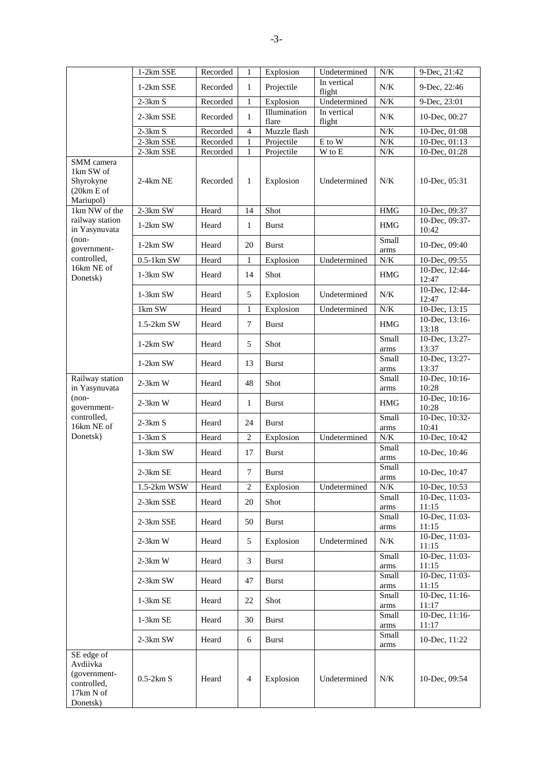|                                                                                | 1-2km SSE    | Recorded | 1              | Explosion             | Undetermined          | N/K                  | 9-Dec, 21:42                                     |
|--------------------------------------------------------------------------------|--------------|----------|----------------|-----------------------|-----------------------|----------------------|--------------------------------------------------|
|                                                                                | 1-2km SSE    | Recorded | $\mathbf{1}$   | Projectile            | In vertical<br>flight | N/K                  | 9-Dec, 22:46                                     |
|                                                                                | $2-3km S$    | Recorded | 1              | Explosion             | Undetermined          | $N/K$                | 9-Dec, 23:01                                     |
|                                                                                | 2-3km SSE    | Recorded | $\mathbf{1}$   | Illumination<br>flare | In vertical<br>flight | N/K                  | 10-Dec, 00:27                                    |
|                                                                                | $2-3km S$    | Recorded | $\overline{4}$ | Muzzle flash          |                       | N/K                  | 10-Dec, 01:08                                    |
|                                                                                | 2-3km SSE    | Recorded | 1              | Projectile            | E to W                | N/K                  | $10\text{-}\text{Dec},\overline{01:13}$          |
|                                                                                | 2-3km SSE    | Recorded | 1              | Projectile            | W to E                | $N\!/\!K$            | 10-Dec, 01:28                                    |
| SMM camera<br>1km SW of<br>Shyrokyne<br>(20km E of<br>Mariupol)                | 2-4km NE     | Recorded | $\mathbf{1}$   | Explosion             | Undetermined          | N/K                  | 10-Dec, 05:31                                    |
| 1km NW of the                                                                  | $2-3km$ SW   | Heard    | 14             | Shot                  |                       | <b>HMG</b>           | 10-Dec, 09:37                                    |
| railway station<br>in Yasynuvata                                               | $1-2km$ SW   | Heard    | $\mathbf{1}$   | Burst                 |                       | HMG                  | 10-Dec, 09:37-<br>10:42                          |
| $(non-$<br>government-                                                         | $1-2km$ SW   | Heard    | 20             | <b>Burst</b>          |                       | Small<br>arms        | 10-Dec, 09:40                                    |
| controlled,                                                                    | $0.5-1km$ SW | Heard    | 1              | Explosion             | Undetermined          | $N\!/\!K$            | 10-Dec, 09:55                                    |
| 16km NE of<br>Donetsk)                                                         | $1-3km$ SW   | Heard    | 14             | Shot                  |                       | <b>HMG</b>           | 10-Dec, 12:44-<br>12:47                          |
|                                                                                | $1-3km$ SW   | Heard    | 5              | Explosion             | Undetermined          | N/K                  | 10-Dec, 12:44-<br>12:47                          |
|                                                                                | 1km SW       | Heard    | 1              | Explosion             | Undetermined          | N/K                  | 10-Dec, 13:15                                    |
|                                                                                | $1.5-2km$ SW | Heard    | $\overline{7}$ | <b>Burst</b>          |                       | <b>HMG</b>           | 10-Dec, 13:16-<br>13:18                          |
|                                                                                | $1-2km$ SW   | Heard    | 5              | Shot                  |                       | Small<br>arms        | 10-Dec, 13:27-<br>13:37                          |
|                                                                                | $1-2km$ SW   | Heard    | 13             | <b>Burst</b>          |                       | Small<br>arms        | 10-Dec, 13:27-<br>13:37                          |
| Railway station<br>in Yasynuvata                                               | $2-3km$ W    | Heard    | 48             | Shot                  |                       | Small                | 10-Dec, 10:16-<br>10:28                          |
| $(non-$                                                                        | $2-3km$ W    | Heard    | 1              | <b>Burst</b>          |                       | arms<br><b>HMG</b>   | 10-Dec, 10:16-                                   |
| government-<br>controlled,<br>16km NE of                                       | $2-3km S$    | Heard    | 24             | <b>Burst</b>          |                       | Small                | 10:28<br>10-Dec, 10:32-                          |
| Donetsk)                                                                       | $1-3km S$    | Heard    | $\overline{c}$ | Explosion             | Undetermined          | arms<br>N/K          | 10:41<br>10-Dec, 10:42                           |
|                                                                                |              |          |                |                       |                       | Small                |                                                  |
|                                                                                | $1-3km$ SW   | Heard    | 17             | <b>Burst</b>          |                       | arms<br>Small        | 10-Dec, 10:46                                    |
|                                                                                | $2-3km$ SE   | Heard    | 7              | <b>Burst</b>          |                       | arms                 | 10-Dec, 10:47                                    |
|                                                                                | 1.5-2km WSW  | Heard    | 2              | Explosion             | Undetermined          | $N/K$                | 10-Dec, 10:53                                    |
|                                                                                | 2-3km SSE    | Heard    | 20             | Shot                  |                       | Small                | 10-Dec, 11:03-                                   |
|                                                                                |              |          |                |                       |                       | arms<br>Small        | 11:15<br>10-Dec, 11:03-                          |
|                                                                                | 2-3km SSE    | Heard    | 50             | <b>Burst</b>          |                       | $\rm{arms}$          | 11:15                                            |
|                                                                                | $2-3km$ W    | Heard    | 5              | Explosion             | Undetermined          | N/K                  | 10-Dec, 11:03-<br>11:15                          |
|                                                                                | $2-3km$ W    | Heard    | 3              | <b>Burst</b>          |                       | Small<br>arms        | 10-Dec, 11:03-<br>11:15                          |
|                                                                                | 2-3km SW     | Heard    | 47             | <b>Burst</b>          |                       | Small                | 10-Dec, 11:03-                                   |
|                                                                                | $1-3km$ SE   | Heard    | 22             | Shot                  |                       | arms<br>Small        | 11:15<br>$10\text{-}\text{Dec},\overline{11:16}$ |
|                                                                                | 1-3km SE     | Heard    | 30             | <b>Burst</b>          |                       | arms<br>Small        | 11:17<br>10-Dec, 11:16-                          |
|                                                                                | 2-3km SW     | Heard    | 6              | <b>Burst</b>          |                       | $\rm{arms}$<br>Small | 11:17<br>10-Dec, 11:22                           |
|                                                                                |              |          |                |                       |                       | arms                 |                                                  |
| SE edge of<br>Avdiivka<br>(government-<br>controlled,<br>17km N of<br>Donetsk) | $0.5-2km S$  | Heard    | 4              | Explosion             | Undetermined          | N/K                  | 10-Dec, 09:54                                    |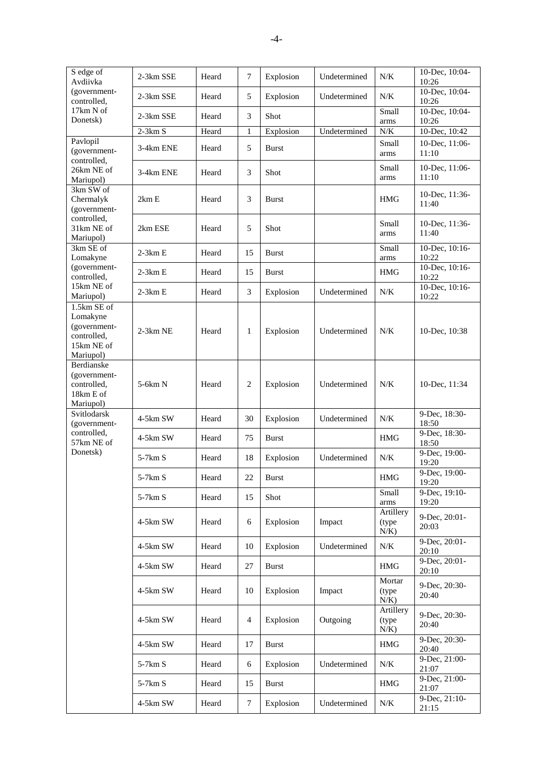| S edge of<br>Avdiivka                                                             | 2-3km SSE  | Heard | 7  | Explosion    | Undetermined | N/K                            | 10-Dec, 10:04-<br>10:26 |
|-----------------------------------------------------------------------------------|------------|-------|----|--------------|--------------|--------------------------------|-------------------------|
| (government-<br>controlled,                                                       | 2-3km SSE  | Heard | 5  | Explosion    | Undetermined | N/K                            | 10-Dec, 10:04-<br>10:26 |
| 17km N of                                                                         | 2-3km SSE  | Heard | 3  | Shot         |              | Small                          | 10-Dec, 10:04-          |
| Donetsk)                                                                          | $2-3km S$  | Heard | 1  | Explosion    | Undetermined | arms<br>$N\!/\!K$              | 10:26<br>10-Dec, 10:42  |
| Pavlopil                                                                          |            |       |    |              |              | Small                          | 10-Dec, 11:06-          |
| (government-                                                                      | 3-4km ENE  | Heard | 5  | Burst        |              | arms                           | 11:10                   |
| controlled,<br>26km NE of<br>Mariupol)                                            | 3-4km ENE  | Heard | 3  | Shot         |              | Small<br>arms                  | 10-Dec, 11:06-<br>11:10 |
| 3km SW of<br>Chermalyk<br>(government-                                            | 2km E      | Heard | 3  | Burst        |              | HMG                            | 10-Dec, 11:36-<br>11:40 |
| controlled,<br>31km NE of<br>Mariupol)                                            | 2km ESE    | Heard | 5  | Shot         |              | Small<br>arms                  | 10-Dec, 11:36-<br>11:40 |
| 3km SE of<br>Lomakyne                                                             | $2-3km E$  | Heard | 15 | Burst        |              | Small<br>arms                  | 10-Dec, 10:16-<br>10:22 |
| (government-<br>controlled,                                                       | $2-3km E$  | Heard | 15 | <b>Burst</b> |              | HMG                            | 10-Dec, 10:16-<br>10:22 |
| 15km NE of<br>Mariupol)                                                           | $2-3km E$  | Heard | 3  | Explosion    | Undetermined | N/K                            | 10-Dec, 10:16-<br>10:22 |
| 1.5km SE of<br>Lomakyne<br>(government-<br>controlled,<br>15km NE of<br>Mariupol) | $2-3km$ NE | Heard | 1  | Explosion    | Undetermined | N/K                            | 10-Dec, 10:38           |
| Berdianske<br>(government-<br>controlled,<br>18km E of<br>Mariupol)               | 5-6km N    | Heard | 2  | Explosion    | Undetermined | N/K                            | 10-Dec, 11:34           |
| Svitlodarsk<br>(government-                                                       | 4-5km SW   | Heard | 30 | Explosion    | Undetermined | N/K                            | 9-Dec, 18:30-<br>18:50  |
| controlled,<br>57km NE of                                                         | 4-5km SW   | Heard | 75 | Burst        |              | HMG                            | 9-Dec, 18:30-<br>18:50  |
| Donetsk)                                                                          | $5-7km S$  | Heard | 18 | Explosion    | Undetermined | N/K                            | 9-Dec, 19:00-<br>19:20  |
|                                                                                   | $5-7km S$  | Heard | 22 | Burst        |              | <b>HMG</b>                     | 9-Dec, 19:00-<br>19:20  |
|                                                                                   | 5-7km S    | Heard | 15 | Shot         |              | Small<br>$\rm{arms}$           | 9-Dec, 19:10-<br>19:20  |
|                                                                                   | 4-5km SW   | Heard | 6  | Explosion    | Impact       | Artillery<br>(type)<br>$N/K$ ) | 9-Dec, 20:01-<br>20:03  |
|                                                                                   | 4-5km SW   | Heard | 10 | Explosion    | Undetermined | N/K                            | 9-Dec, 20:01-<br>20:10  |
|                                                                                   | 4-5km SW   | Heard | 27 | <b>Burst</b> |              | HMG                            | 9-Dec, 20:01-<br>20:10  |
|                                                                                   | 4-5km SW   | Heard | 10 | Explosion    | Impact       | Mortar<br>(type)<br>$N/K$ )    | 9-Dec, 20:30-<br>20:40  |
|                                                                                   | 4-5km SW   | Heard | 4  | Explosion    | Outgoing     | Artillery<br>(type<br>N/K      | 9-Dec, 20:30-<br>20:40  |
|                                                                                   | 4-5km SW   | Heard | 17 | <b>Burst</b> |              | HMG                            | 9-Dec, 20:30-<br>20:40  |
|                                                                                   | 5-7km S    | Heard | 6  | Explosion    | Undetermined | N/K                            | 9-Dec, 21:00-<br>21:07  |
|                                                                                   | $5-7km S$  | Heard | 15 | <b>Burst</b> |              | HMG                            | 9-Dec, 21:00-<br>21:07  |
|                                                                                   | 4-5km SW   | Heard | 7  | Explosion    | Undetermined | N/K                            | 9-Dec, 21:10-<br>21:15  |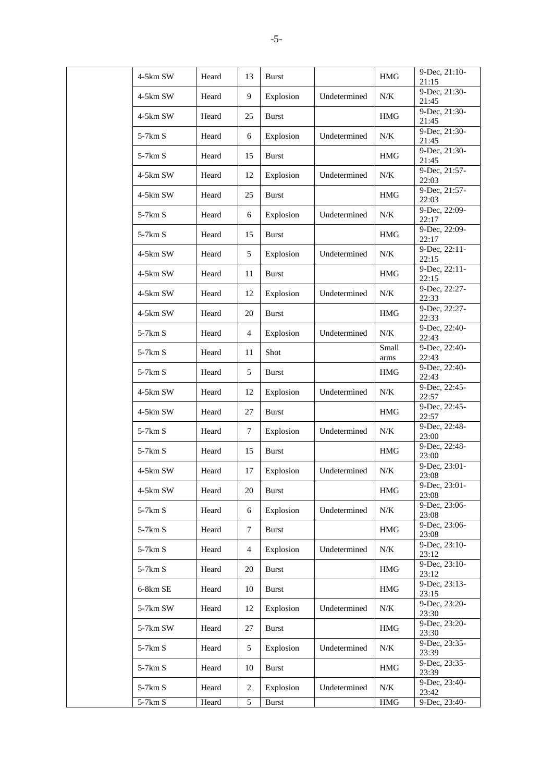| 4-5km SW         | Heard | 13               | <b>Burst</b> |              | <b>HMG</b>    | 9-Dec, 21:10-<br>21:15   |
|------------------|-------|------------------|--------------|--------------|---------------|--------------------------|
| 4-5km SW         | Heard | 9                | Explosion    | Undetermined | $N\!/\!K$     | 9-Dec, 21:30-<br>21:45   |
| 4-5km SW         | Heard | 25               | <b>Burst</b> |              | HMG           | 9-Dec, 21:30-<br>21:45   |
| $5-7km S$        | Heard | 6                | Explosion    | Undetermined | N/K           | 9-Dec, 21:30-<br>21:45   |
| $5-7km S$        | Heard | 15               | <b>Burst</b> |              | <b>HMG</b>    | 9-Dec, 21:30-<br>21:45   |
| 4-5km SW         | Heard | 12               | Explosion    | Undetermined | N/K           | 9-Dec, 21:57-<br>22:03   |
| 4-5km SW         | Heard | 25               | <b>Burst</b> |              | <b>HMG</b>    | 9-Dec, 21:57-<br>22:03   |
| $5-7km S$        | Heard | 6                | Explosion    | Undetermined | $N\!/\!K$     | 9-Dec, 22:09-<br>22:17   |
| $5-7km S$        | Heard | 15               | Burst        |              | HMG           | 9-Dec, 22:09-<br>22:17   |
| 4-5km SW         | Heard | 5                | Explosion    | Undetermined | $N\!/\!K$     | 9-Dec, 22:11-<br>22:15   |
| 4-5km SW         | Heard | 11               | <b>Burst</b> |              | $\rm HMG$     | 9-Dec, 22:11-<br>22:15   |
| 4-5km SW         | Heard | 12               | Explosion    | Undetermined | N/K           | 9-Dec, 22:27-<br>22:33   |
| 4-5km SW         | Heard | 20               | <b>Burst</b> |              | HMG           | 9-Dec, 22:27-<br>22:33   |
| 5-7km S          | Heard | $\overline{4}$   | Explosion    | Undetermined | N/K           | 9-Dec, 22:40-<br>22:43   |
| 5-7km S          | Heard | 11               | Shot         |              | Small<br>arms | 9-Dec, 22:40-<br>22:43   |
| $5-7km S$        | Heard | 5                | <b>Burst</b> |              | <b>HMG</b>    | 9-Dec, 22:40-<br>22:43   |
| 4-5km SW         | Heard | 12               | Explosion    | Undetermined | $N\!/\!K$     | 9-Dec, 22:45-<br>22:57   |
| 4-5km SW         | Heard | 27               | <b>Burst</b> |              | <b>HMG</b>    | 9-Dec, 22:45-<br>22:57   |
| 5-7km S          | Heard | $\boldsymbol{7}$ | Explosion    | Undetermined | $N\!/\!K$     | 9-Dec, 22:48-<br>23:00   |
| 5-7km S          | Heard | 15               | <b>Burst</b> |              | <b>HMG</b>    | 9-Dec, 22:48-<br>23:00   |
| 4-5km SW         | Heard | 17               | Explosion    | Undetermined | N/K           | 9-Dec, 23:01-<br>23:08   |
| $4-5{\rm km}$ SW | Heard | 20               | <b>Burst</b> |              | $\rm{HMG}$    | 9-Dec, 23:01-<br>23:08   |
| $5-7km S$        | Heard | 6                | Explosion    | Undetermined | $N\!/\!K$     | 9-Dec, 23:06-<br>23:08   |
| $5-7km S$        | Heard | $\tau$           | <b>Burst</b> |              | HMG           | 9-Dec, 23:06-<br>23:08   |
| $5-7km S$        | Heard | $\overline{4}$   | Explosion    | Undetermined | $N\!/\!K$     | $9-Dec, 23:10-$<br>23:12 |
| 5-7km S          | Heard | 20               | Burst        |              | HMG           | 9-Dec, 23:10-<br>23:12   |
| 6-8km SE         | Heard | 10               | <b>Burst</b> |              | HMG           | 9-Dec, 23:13-<br>23:15   |
| 5-7km SW         | Heard | 12               | Explosion    | Undetermined | N/K           | 9-Dec, 23:20-<br>23:30   |
| 5-7km SW         | Heard | 27               | <b>Burst</b> |              | $\rm HMG$     | 9-Dec, 23:20-<br>23:30   |
| 5-7km S          | Heard | 5                | Explosion    | Undetermined | $N\!/\!K$     | 9-Dec, 23:35-<br>23:39   |
| $5-7km S$        | Heard | 10               | <b>Burst</b> |              | HMG           | 9-Dec, 23:35-<br>23:39   |
| $5-7km S$        | Heard | $\overline{c}$   | Explosion    | Undetermined | N/K           | 9-Dec, 23:40-<br>23:42   |
| $5-7km S$        | Heard | 5                | <b>Burst</b> |              | $\rm{HMG}$    | 9-Dec, 23:40-            |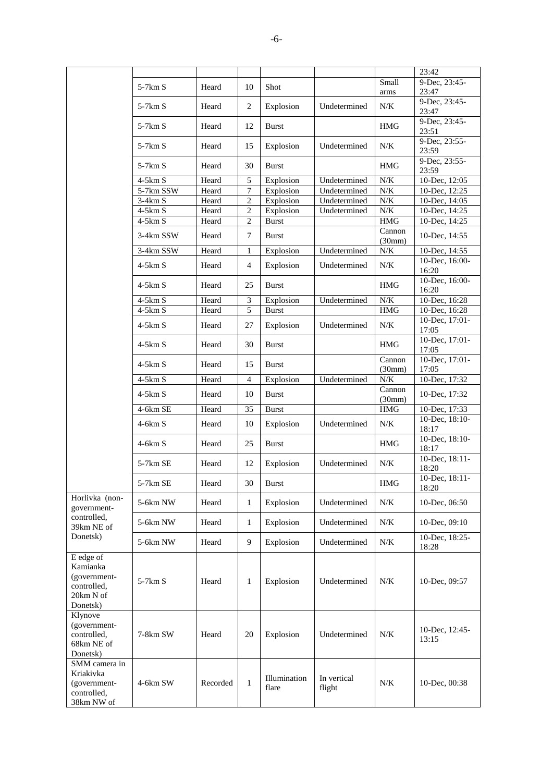|                                                                               |            |          |                |                       |                       |                  | 23:42                           |
|-------------------------------------------------------------------------------|------------|----------|----------------|-----------------------|-----------------------|------------------|---------------------------------|
|                                                                               | $5-7km S$  | Heard    | 10             | Shot                  |                       | Small<br>arms    | 9-Dec, 23:45-<br>23:47          |
|                                                                               | $5-7km S$  | Heard    | $\overline{c}$ | Explosion             | Undetermined          | N/K              | 9-Dec, 23:45-<br>23:47          |
|                                                                               | $5-7km S$  | Heard    | 12             | <b>Burst</b>          |                       | <b>HMG</b>       | 9-Dec, 23:45-<br>23:51          |
|                                                                               | $5-7km S$  | Heard    | 15             | Explosion             | Undetermined          | N/K              | 9-Dec, 23:55-<br>23:59          |
|                                                                               | $5-7km S$  | Heard    | 30             | <b>Burst</b>          |                       | <b>HMG</b>       | 9-Dec, 23:55-<br>23:59          |
|                                                                               | $4-5km S$  | Heard    | 5              | Explosion             | Undetermined          | N/K              | 10-Dec, 12:05                   |
|                                                                               | 5-7km SSW  | Heard    | $\overline{7}$ | Explosion             | Undetermined          | $N\!/\!K$        | 10-Dec, 12:25                   |
|                                                                               | $3-4km S$  | Heard    | $\overline{c}$ | Explosion             | Undetermined          | $N\!/\!K$        | 10-Dec, 14:05                   |
|                                                                               | 4-5km S    | Heard    | 2              | Explosion             | Undetermined          | N/K              | 10-Dec, 14:25                   |
|                                                                               | $4-5km S$  | Heard    | 2              | <b>Burst</b>          |                       | HMG              | 10-Dec, 14:25                   |
|                                                                               | 3-4km SSW  | Heard    | 7              | <b>Burst</b>          |                       | Cannon<br>(30mm) | 10-Dec, 14:55                   |
|                                                                               | 3-4km SSW  | Heard    | 1              | Explosion             | Undetermined          | $N\!/\!K$        | 10-Dec, 14:55                   |
|                                                                               | $4-5km S$  | Heard    | 4              | Explosion             | Undetermined          | N/K              | 10-Dec, 16:00-<br>16:20         |
|                                                                               | $4-5km S$  | Heard    | 25             | <b>Burst</b>          |                       | <b>HMG</b>       | 10-Dec, 16:00-<br>16:20         |
|                                                                               | $4-5km S$  | Heard    | 3              | Explosion             | Undetermined          | $N\!/\!K$        | 10-Dec, 16:28                   |
|                                                                               | $4-5km S$  | Heard    | 5              | <b>Burst</b>          |                       | HMG              | 10-Dec, 16:28                   |
|                                                                               | $4-5km S$  | Heard    | 27             | Explosion             | Undetermined          | $N/K$            | 10-Dec, 17:01-<br>17:05         |
|                                                                               | $4-5km S$  | Heard    | 30             | <b>Burst</b>          |                       | HMG              | 10-Dec, 17:01-<br>17:05         |
|                                                                               | $4-5km S$  | Heard    | 15             | <b>Burst</b>          |                       | Cannon<br>(30mm) | 10-Dec, 17:01-<br>17:05         |
|                                                                               | $4-5km S$  | Heard    | $\overline{4}$ | Explosion             | Undetermined          | N/K              | 10-Dec, 17:32                   |
|                                                                               | $4-5km S$  | Heard    | 10             | <b>Burst</b>          |                       | Cannon           | 10-Dec, 17:32                   |
|                                                                               | $4-6km$ SE | Heard    | 35             | <b>Burst</b>          |                       | (30mm)<br>HMG    | 10-Dec, 17:33                   |
|                                                                               | $4-6km S$  | Heard    | 10             | Explosion             | Undetermined          | N/K              | 10-Dec, 18:10-                  |
|                                                                               | $4-6km S$  | Heard    | 25             | <b>Burst</b>          |                       | <b>HMG</b>       | 18:17<br>10-Dec, 18:10-         |
|                                                                               | $5-7km$ SE | Heard    | 12             | Explosion             | Undetermined          | N/K              | 18:17<br>10-Dec, 18:11-         |
|                                                                               | 5-7km SE   | Heard    | 30             | Burst                 |                       | <b>HMG</b>       | 18:20<br>10-Dec, 18:11-         |
| Horlivka (non-                                                                |            |          |                |                       |                       |                  | 18:20                           |
| government-<br>controlled,                                                    | 5-6km NW   | Heard    | $\mathbf{1}$   | Explosion             | Undetermined          | N/K              | 10-Dec, 06:50                   |
| 39km NE of<br>Donetsk)                                                        | 5-6km NW   | Heard    | 1              | Explosion             | Undetermined          | N/K              | 10-Dec, 09:10<br>10-Dec, 18:25- |
|                                                                               | 5-6km NW   | Heard    | 9              | Explosion             | Undetermined          | N/K              | 18:28                           |
| E edge of<br>Kamianka<br>(government-<br>controlled,<br>20km N of<br>Donetsk) | $5-7km S$  | Heard    | 1              | Explosion             | Undetermined          | N/K              | 10-Dec, 09:57                   |
| Klynove<br>(government-<br>controlled,<br>68km NE of<br>Donetsk)              | 7-8km SW   | Heard    | 20             | Explosion             | Undetermined          | N/K              | 10-Dec, 12:45-<br>13:15         |
| SMM camera in<br>Kriakivka<br>(government-<br>controlled,<br>38km NW of       | 4-6km SW   | Recorded | $\mathbf{1}$   | Illumination<br>flare | In vertical<br>flight | N/K              | 10-Dec, 00:38                   |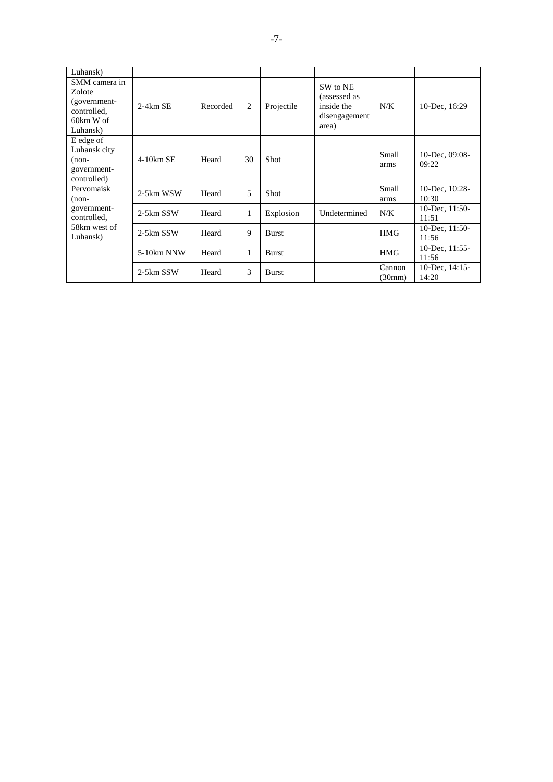| Luhansk)                                                                          |              |          |    |              |                                                                  |                  |                            |
|-----------------------------------------------------------------------------------|--------------|----------|----|--------------|------------------------------------------------------------------|------------------|----------------------------|
| SMM camera in<br>Zolote<br>(government-<br>controlled,<br>$60km$ W of<br>Luhansk) | $2-4km$ SE   | Recorded | 2  | Projectile   | SW to NE<br>(assessed as<br>inside the<br>disengagement<br>area) | N/K              | 10-Dec, 16:29              |
| E edge of<br>Luhansk city<br>$(non-$<br>government-<br>controlled)                | $4-10km$ SE  | Heard    | 30 | <b>Shot</b>  |                                                                  | Small<br>arms    | 10-Dec, $09:08$ -<br>09:22 |
| Pervomaisk<br>$(non-$                                                             | 2-5km WSW    | Heard    | 5  | Shot         |                                                                  | Small<br>arms    | 10-Dec, 10:28-<br>10:30    |
| government-<br>controlled,                                                        | 2-5km SSW    | Heard    | 1  | Explosion    | Undetermined                                                     | N/K              | 10-Dec, $11:50-$<br>11:51  |
| 58km west of<br>Luhansk)                                                          | 2-5km SSW    | Heard    | 9  | <b>Burst</b> |                                                                  | <b>HMG</b>       | 10-Dec, $11:50-$<br>11:56  |
|                                                                                   | $5-10km$ NNW | Heard    | 1  | <b>Burst</b> |                                                                  | <b>HMG</b>       | 10-Dec, $11:55$ -<br>11:56 |
|                                                                                   | 2-5km SSW    | Heard    | 3  | <b>Burst</b> |                                                                  | Cannon<br>(30mm) | 10-Dec, 14:15-<br>14:20    |